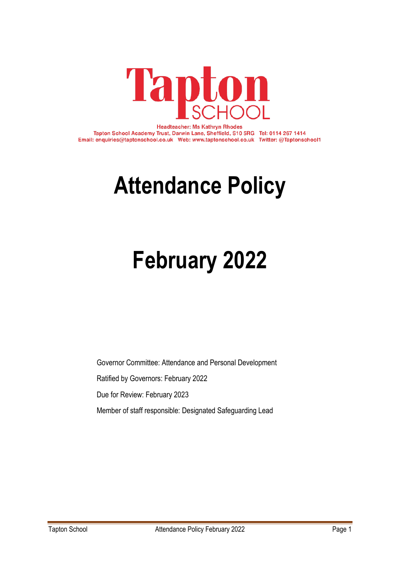

**Headteacher: Ms Kathryn Rhodes** Tapton School Academy Trust, Darwin Lane, Sheffield, S10 5RG Tel: 0114 267 1414 Email: enquiries@taptonschool.co.uk Web: www.taptonschool.co.uk Twitter: @Taptonschool1

# **Attendance Policy**

# **February 2022**

Governor Committee: Attendance and Personal Development Ratified by Governors: February 2022 Due for Review: February 2023 Member of staff responsible: Designated Safeguarding Lead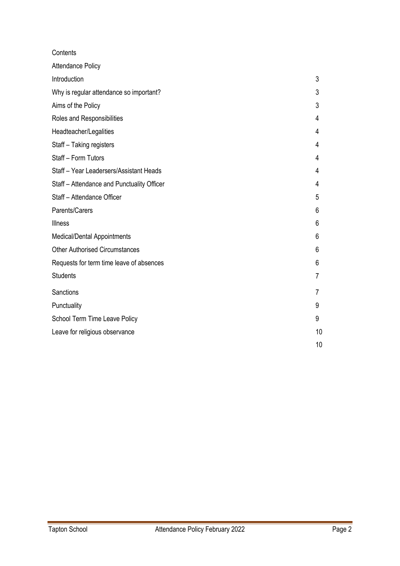| Contents                                   |    |
|--------------------------------------------|----|
| <b>Attendance Policy</b>                   |    |
| Introduction                               | 3  |
| Why is regular attendance so important?    | 3  |
| Aims of the Policy                         | 3  |
| Roles and Responsibilities                 | 4  |
| Headteacher/Legalities                     | 4  |
| Staff - Taking registers                   | 4  |
| Staff - Form Tutors                        | 4  |
| Staff - Year Leadersers/Assistant Heads    | 4  |
| Staff - Attendance and Punctuality Officer | 4  |
| Staff - Attendance Officer                 | 5  |
| Parents/Carers                             | 6  |
| <b>Illness</b>                             | 6  |
| Medical/Dental Appointments                | 6  |
| <b>Other Authorised Circumstances</b>      | 6  |
| Requests for term time leave of absences   | 6  |
| <b>Students</b>                            | 7  |
| Sanctions                                  | 7  |
| Punctuality                                | 9  |
| School Term Time Leave Policy              | 9  |
| Leave for religious observance             | 10 |
|                                            | 10 |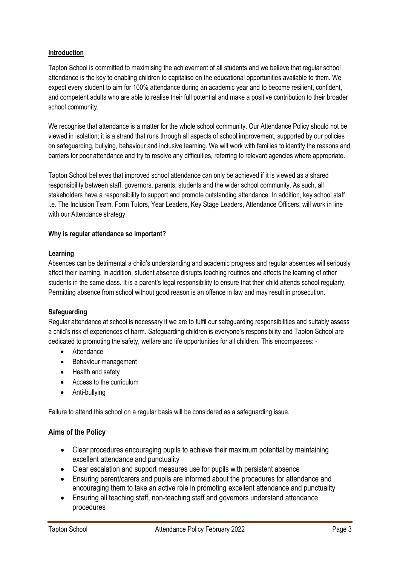# **Introduction**

Tapton School is committed to maximising the achievement of all students and we believe that regular school attendance is the key to enabling children to capitalise on the educational opportunities available to them. We expect every student to aim for 100% attendance during an academic year and to become resilient, confident, and competent adults who are able to realise their full potential and make a positive contribution to their broader school community.

We recognise that attendance is a matter for the whole school community. Our Attendance Policy should not be viewed in isolation; it is a strand that runs through all aspects of school improvement, supported by our policies on safeguarding, bullying, behaviour and inclusive learning. We will work with families to identify the reasons and barriers for poor attendance and try to resolve any difficulties, referring to relevant agencies where appropriate.

Tapton School believes that improved school attendance can only be achieved if it is viewed as a shared responsibility between staff, governors, parents, students and the wider school community. As such, all stakeholders have a responsibility to support and promote outstanding attendance. In addition, key school staff i.e. The Inclusion Team, Form Tutors, Year Leaders, Key Stage Leaders, Attendance Officers, will work in line with our Attendance strategy.

#### **Why is regular attendance so important?**

#### **Learning**

Absences can be detrimental a child's understanding and academic progress and regular absences will seriously affect their learning. In addition, student absence disrupts teaching routines and affects the learning of other students in the same class. It is a parent's legal responsibility to ensure that their child attends school regularly. Permitting absence from school without good reason is an offence in law and may result in prosecution.

# **Safeguarding**

Regular attendance at school is necessary if we are to fulfil our safeguarding responsibilities and suitably assess a child's risk of experiences of harm. Safeguarding children is everyone's responsibility and Tapton School are dedicated to promoting the safety, welfare and life opportunities for all children. This encompasses: -

- Attendance
- Behaviour management
- Health and safety
- Access to the curriculum
- Anti-bullying

Failure to attend this school on a regular basis will be considered as a safeguarding issue.

# **Aims of the Policy**

- Clear procedures encouraging pupils to achieve their maximum potential by maintaining excellent attendance and punctuality
- Clear escalation and support measures use for pupils with persistent absence
- Ensuring parent/carers and pupils are informed about the procedures for attendance and encouraging them to take an active role in promoting excellent attendance and punctuality
- Ensuring all teaching staff, non-teaching staff and governors understand attendance procedures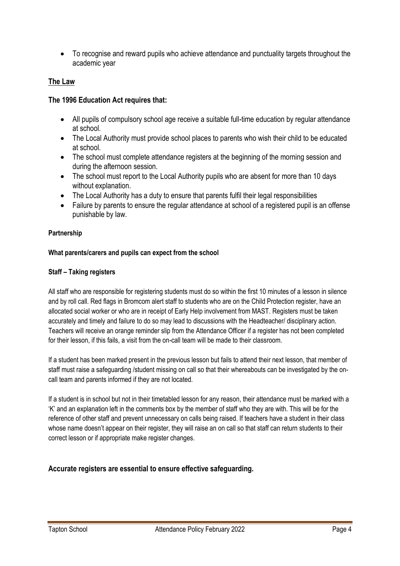• To recognise and reward pupils who achieve attendance and punctuality targets throughout the academic year

# **The Law**

# **The 1996 Education Act requires that:**

- All pupils of compulsory school age receive a suitable full-time education by regular attendance at school.
- The Local Authority must provide school places to parents who wish their child to be educated at school.
- The school must complete attendance registers at the beginning of the morning session and during the afternoon session.
- The school must report to the Local Authority pupils who are absent for more than 10 days without explanation.
- The Local Authority has a duty to ensure that parents fulfil their legal responsibilities
- Failure by parents to ensure the regular attendance at school of a registered pupil is an offense punishable by law.

#### **Partnership**

## **What parents/carers and pupils can expect from the school**

## **Staff – Taking registers**

All staff who are responsible for registering students must do so within the first 10 minutes of a lesson in silence and by roll call. Red flags in Bromcom alert staff to students who are on the Child Protection register, have an allocated social worker or who are in receipt of Early Help involvement from MAST. Registers must be taken accurately and timely and failure to do so may lead to discussions with the Headteacher/ disciplinary action. Teachers will receive an orange reminder slip from the Attendance Officer if a register has not been completed for their lesson, if this fails, a visit from the on-call team will be made to their classroom.

If a student has been marked present in the previous lesson but fails to attend their next lesson, that member of staff must raise a safeguarding /student missing on call so that their whereabouts can be investigated by the oncall team and parents informed if they are not located.

If a student is in school but not in their timetabled lesson for any reason, their attendance must be marked with a 'K' and an explanation left in the comments box by the member of staff who they are with. This will be for the reference of other staff and prevent unnecessary on calls being raised. If teachers have a student in their class whose name doesn't appear on their register, they will raise an on call so that staff can return students to their correct lesson or if appropriate make register changes.

# **Accurate registers are essential to ensure effective safeguarding.**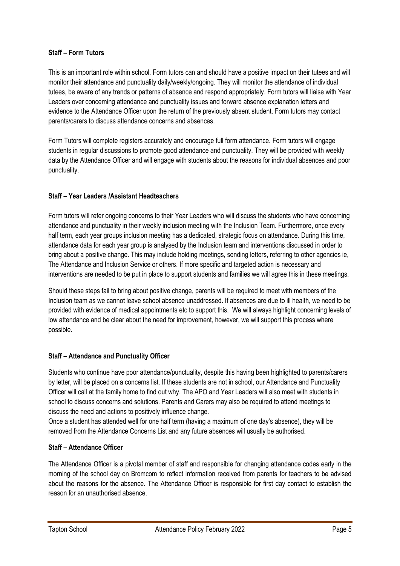# **Staff – Form Tutors**

This is an important role within school. Form tutors can and should have a positive impact on their tutees and will monitor their attendance and punctuality daily/weekly/ongoing. They will monitor the attendance of individual tutees, be aware of any trends or patterns of absence and respond appropriately. Form tutors will liaise with Year Leaders over concerning attendance and punctuality issues and forward absence explanation letters and evidence to the Attendance Officer upon the return of the previously absent student. Form tutors may contact parents/carers to discuss attendance concerns and absences.

Form Tutors will complete registers accurately and encourage full form attendance. Form tutors will engage students in regular discussions to promote good attendance and punctuality. They will be provided with weekly data by the Attendance Officer and will engage with students about the reasons for individual absences and poor punctuality.

# **Staff – Year Leaders /Assistant Headteachers**

Form tutors will refer ongoing concerns to their Year Leaders who will discuss the students who have concerning attendance and punctuality in their weekly inclusion meeting with the Inclusion Team. Furthermore, once every half term, each year groups inclusion meeting has a dedicated, strategic focus on attendance. During this time, attendance data for each year group is analysed by the Inclusion team and interventions discussed in order to bring about a positive change. This may include holding meetings, sending letters, referring to other agencies ie, The Attendance and Inclusion Service or others. If more specific and targeted action is necessary and interventions are needed to be put in place to support students and families we will agree this in these meetings.

Should these steps fail to bring about positive change, parents will be required to meet with members of the Inclusion team as we cannot leave school absence unaddressed. If absences are due to ill health, we need to be provided with evidence of medical appointments etc to support this. We will always highlight concerning levels of low attendance and be clear about the need for improvement, however, we will support this process where possible.

# **Staff – Attendance and Punctuality Officer**

Students who continue have poor attendance/punctuality, despite this having been highlighted to parents/carers by letter, will be placed on a concerns list. If these students are not in school, our Attendance and Punctuality Officer will call at the family home to find out why. The APO and Year Leaders will also meet with students in school to discuss concerns and solutions. Parents and Carers may also be required to attend meetings to discuss the need and actions to positively influence change.

Once a student has attended well for one half term (having a maximum of one day's absence), they will be removed from the Attendance Concerns List and any future absences will usually be authorised.

# **Staff – Attendance Officer**

The Attendance Officer is a pivotal member of staff and responsible for changing attendance codes early in the morning of the school day on Bromcom to reflect information received from parents for teachers to be advised about the reasons for the absence. The Attendance Officer is responsible for first day contact to establish the reason for an unauthorised absence.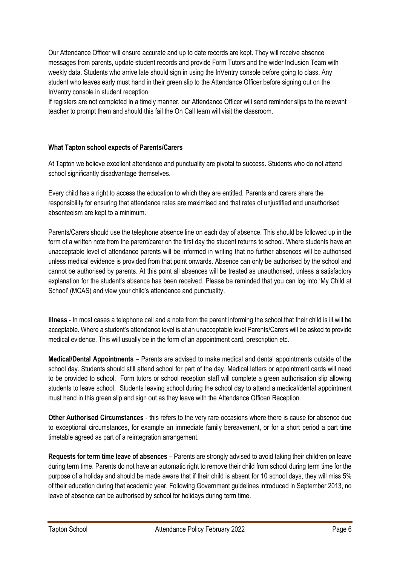Our Attendance Officer will ensure accurate and up to date records are kept. They will receive absence messages from parents, update student records and provide Form Tutors and the wider Inclusion Team with weekly data. Students who arrive late should sign in using the InVentry console before going to class. Any student who leaves early must hand in their green slip to the Attendance Officer before signing out on the InVentry console in student reception.

If registers are not completed in a timely manner, our Attendance Officer will send reminder slips to the relevant teacher to prompt them and should this fail the On Call team will visit the classroom.

## **What Tapton school expects of Parents/Carers**

At Tapton we believe excellent attendance and punctuality are pivotal to success. Students who do not attend school significantly disadvantage themselves.

Every child has a right to access the education to which they are entitled. Parents and carers share the responsibility for ensuring that attendance rates are maximised and that rates of unjustified and unauthorised absenteeism are kept to a minimum.

Parents/Carers should use the telephone absence line on each day of absence. This should be followed up in the form of a written note from the parent/carer on the first day the student returns to school. Where students have an unacceptable level of attendance parents will be informed in writing that no further absences will be authorised unless medical evidence is provided from that point onwards. Absence can only be authorised by the school and cannot be authorised by parents. At this point all absences will be treated as unauthorised, unless a satisfactory explanation for the student's absence has been received. Please be reminded that you can log into 'My Child at School' (MCAS) and view your child's attendance and punctuality.

**Illness** - In most cases a telephone call and a note from the parent informing the school that their child is ill will be acceptable. Where a student's attendance level is at an unacceptable level Parents/Carers will be asked to provide medical evidence. This will usually be in the form of an appointment card, prescription etc.

**Medical/Dental Appointments** – Parents are advised to make medical and dental appointments outside of the school day. Students should still attend school for part of the day. Medical letters or appointment cards will need to be provided to school. Form tutors or school reception staff will complete a green authorisation slip allowing students to leave school. Students leaving school during the school day to attend a medical/dental appointment must hand in this green slip and sign out as they leave with the Attendance Officer/ Reception.

**Other Authorised Circumstances** - this refers to the very rare occasions where there is cause for absence due to exceptional circumstances, for example an immediate family bereavement, or for a short period a part time timetable agreed as part of a reintegration arrangement.

**Requests for term time leave of absences** – Parents are strongly advised to avoid taking their children on leave during term time. Parents do not have an automatic right to remove their child from school during term time for the purpose of a holiday and should be made aware that if their child is absent for 10 school days, they will miss 5% of their education during that academic year. Following Government guidelines introduced in September 2013, no leave of absence can be authorised by school for holidays during term time.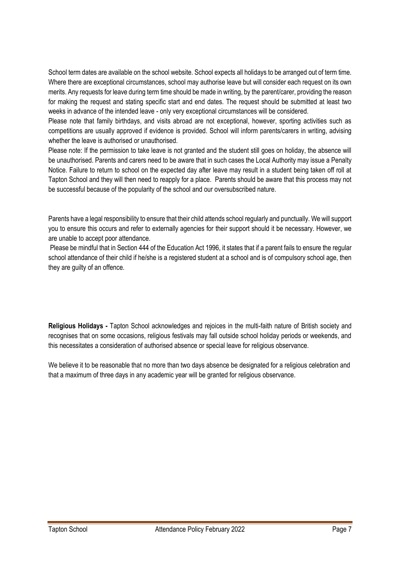School term dates are available on the school website. School expects all holidays to be arranged out of term time. Where there are exceptional circumstances, school may authorise leave but will consider each request on its own merits. Any requests for leave during term time should be made in writing, by the parent/carer, providing the reason for making the request and stating specific start and end dates. The request should be submitted at least two weeks in advance of the intended leave - only very exceptional circumstances will be considered.

Please note that family birthdays, and visits abroad are not exceptional, however, sporting activities such as competitions are usually approved if evidence is provided. School will inform parents/carers in writing, advising whether the leave is authorised or unauthorised.

Please note: If the permission to take leave is not granted and the student still goes on holiday, the absence will be unauthorised. Parents and carers need to be aware that in such cases the Local Authority may issue a Penalty Notice. Failure to return to school on the expected day after leave may result in a student being taken off roll at Tapton School and they will then need to reapply for a place. Parents should be aware that this process may not be successful because of the popularity of the school and our oversubscribed nature.

Parents have a legal responsibility to ensure that their child attends school regularly and punctually. We will support you to ensure this occurs and refer to externally agencies for their support should it be necessary. However, we are unable to accept poor attendance.

Please be mindful that in Section 444 of the Education Act 1996, it states that if a parent fails to ensure the regular school attendance of their child if he/she is a registered student at a school and is of compulsory school age, then they are guilty of an offence.

**Religious Holidays -** Tapton School acknowledges and rejoices in the multi-faith nature of British society and recognises that on some occasions, religious festivals may fall outside school holiday periods or weekends, and this necessitates a consideration of authorised absence or special leave for religious observance.

We believe it to be reasonable that no more than two days absence be designated for a religious celebration and that a maximum of three days in any academic year will be granted for religious observance.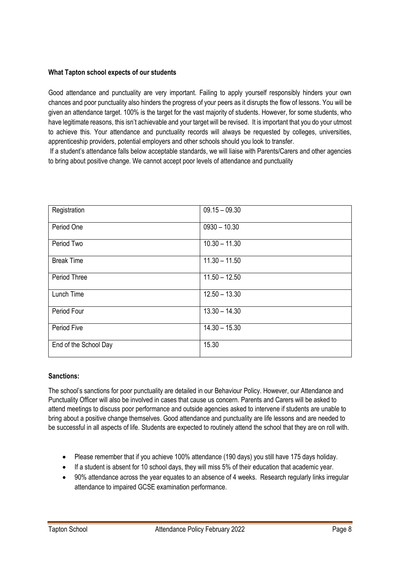#### **What Tapton school expects of our students**

Good attendance and punctuality are very important. Failing to apply yourself responsibly hinders your own chances and poor punctuality also hinders the progress of your peers as it disrupts the flow of lessons. You will be given an attendance target. 100% is the target for the vast majority of students. However, for some students, who have legitimate reasons, this isn't achievable and your target will be revised. It is important that you do your utmost to achieve this. Your attendance and punctuality records will always be requested by colleges, universities, apprenticeship providers, potential employers and other schools should you look to transfer.

If a student's attendance falls below acceptable standards, we will liaise with Parents/Carers and other agencies to bring about positive change. We cannot accept poor levels of attendance and punctuality

| Registration          | $09.15 - 09.30$ |
|-----------------------|-----------------|
| Period One            | $0930 - 10.30$  |
| Period Two            | $10.30 - 11.30$ |
| <b>Break Time</b>     | $11.30 - 11.50$ |
| Period Three          | $11.50 - 12.50$ |
| Lunch Time            | $12.50 - 13.30$ |
| Period Four           | $13.30 - 14.30$ |
| Period Five           | $14.30 - 15.30$ |
| End of the School Day | 15.30           |

#### **Sanctions:**

The school's sanctions for poor punctuality are detailed in our Behaviour Policy. However, our Attendance and Punctuality Officer will also be involved in cases that cause us concern. Parents and Carers will be asked to attend meetings to discuss poor performance and outside agencies asked to intervene if students are unable to bring about a positive change themselves. Good attendance and punctuality are life lessons and are needed to be successful in all aspects of life. Students are expected to routinely attend the school that they are on roll with.

- Please remember that if you achieve 100% attendance (190 days) you still have 175 days holiday.
- If a student is absent for 10 school days, they will miss 5% of their education that academic year.
- 90% attendance across the year equates to an absence of 4 weeks. Research regularly links irregular attendance to impaired GCSE examination performance.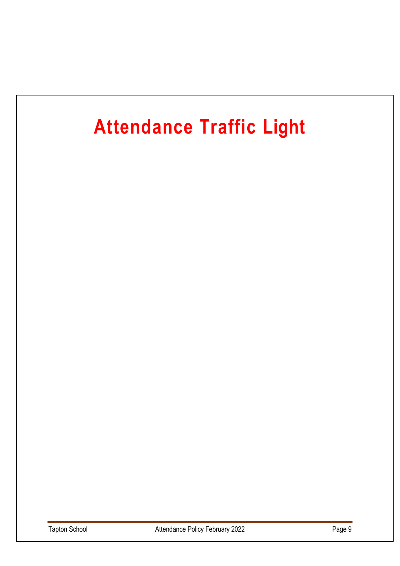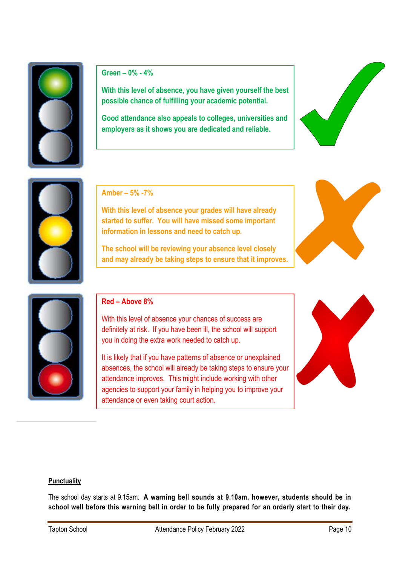

**Green – 0% - 4%**

**With this level of absence, you have given yourself the best possible chance of fulfilling your academic potential.**

**Good attendance also appeals to colleges, universities and employers as it shows you are dedicated and reliable.** 





**Amber – 5% -7%**

**With this level of absence your grades will have already started to suffer. You will have missed some important information in lessons and need to catch up.**

**The school will be reviewing your absence level closely and may already be taking steps to ensure that it improves.**





# **Red – Above 8%**

With this level of absence your chances of success are definitely at risk. If you have been ill, the school will support you in doing the extra work needed to catch up.

It is likely that if you have patterns of absence or unexplained absences, the school will already be taking steps to ensure your attendance improves. This might include working with other agencies to support your family in helping you to improve your attendance or even taking court action.



#### **Punctuality**

The school day starts at 9.15am. **A warning bell sounds at 9.10am, however, students should be in school well before this warning bell in order to be fully prepared for an orderly start to their day.**